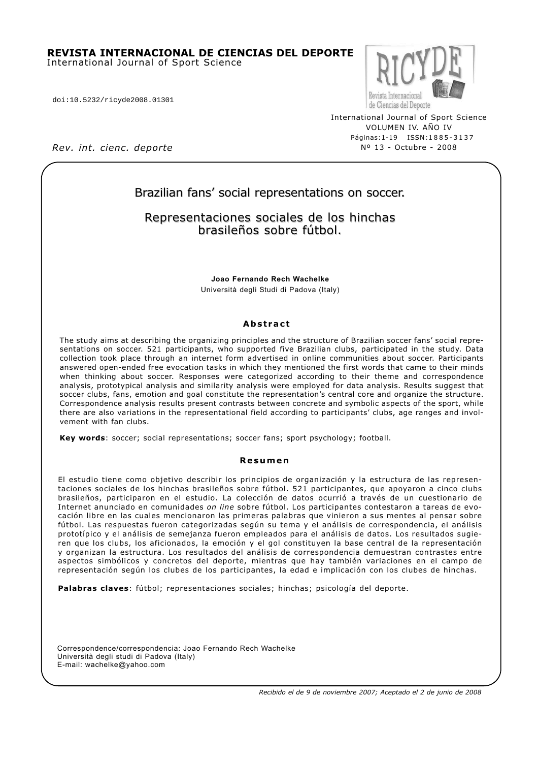#### **REVISTA INTERNACIONAL DE CIENCIAS DEL DEPORTE** International Journal of Sport Science

doi:10.5232/ricyde2008.01301



International Journal of Sport Science VOLUMEN IV. AÑO IV Páginas:1-19 ISSN:1885-3137 Nº 13 - Octubre - 2008

*Rev. int. cienc. deporte*

# Brazilian fans' social representations on soccer.

## Representaciones sociales de los hinchas brasileños sobre fútbol.

**Joao Fernando Rech Wachelke** Università degli Studi di Padova (Italy)

### **Abstract**

The study aims at describing the organizing principles and the structure of Brazilian soccer fans' social representations on soccer. 521 participants, who supported five Brazilian clubs, participated in the study. Data collection took place through an internet form advertised in online communities about soccer. Participants answered open-ended free evocation tasks in which they mentioned the first words that came to their minds when thinking about soccer. Responses were categorized according to their theme and correspondence analysis, prototypical analysis and similarity analysis were employed for data analysis. Results suggest that soccer clubs, fans, emotion and goal constitute the representation's central core and organize the structure. Correspondence analysis results present contrasts between concrete and symbolic aspects of the sport, while there are also variations in the representational field according to participants' clubs, age ranges and involvement with fan clubs.

**Key words**: soccer; social representations; soccer fans; sport psychology; football.

#### **Resumen**

El estudio tiene como objetivo describir los principios de organización y la estructura de las representaciones sociales de los hinchas brasileños sobre fútbol. 521 participantes, que apoyaron a cinco clubs brasileños, participaron en el estudio. La colección de datos ocurrió a través de un cuestionario de Internet anunciado en comunidades *on line* sobre fútbol. Los participantes contestaron a tareas de evocación libre en las cuales mencionaron las primeras palabras que vinieron a sus mentes al pensar sobre fútbol. Las respuestas fueron categorizadas según su tema y el análisis de correspondencia, el análisis prototípico y el análisis de semejanza fueron empleados para el análisis de datos. Los resultados sugieren que los clubs, los aficionados, la emoción y el gol constituyen la base central de la representación y organizan la estructura. Los resultados del análisis de correspondencia demuestran contrastes entre aspectos simbólicos y concretos del deporte, mientras que hay también variaciones en el campo de representación según los clubes de los participantes, la edad e implicación con los clubes de hinchas.

**Palabras claves**: fútbol; representaciones sociales; hinchas; psicología del deporte.

Correspondence/correspondencia: Joao Fernando Rech Wachelke Università degli studi di Padova (Italy) E-mail: wachelke@yahoo.com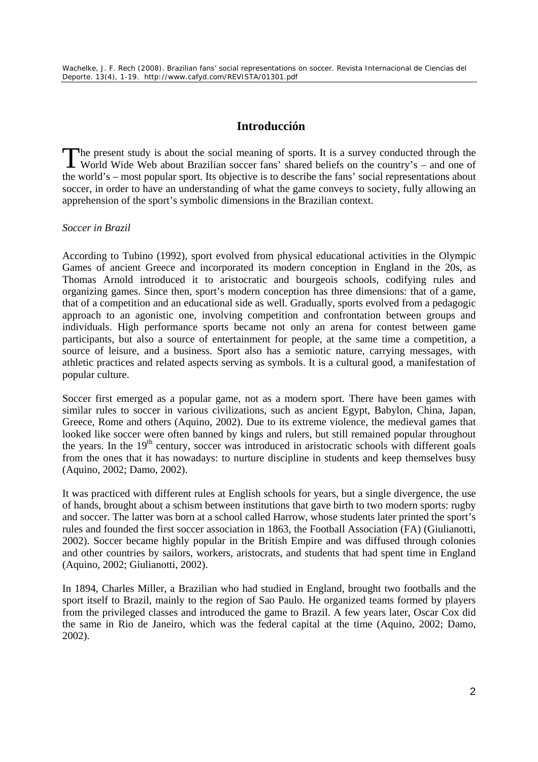# **Introducción**

he present study is about the social meaning of sports. It is a survey conducted through the The present study is about the social meaning of sports. It is a survey conducted through the World Wide Web about Brazilian soccer fans' shared beliefs on the country's – and one of the world's – most popular sport. Its objective is to describe the fans' social representations about soccer, in order to have an understanding of what the game conveys to society, fully allowing an apprehension of the sport's symbolic dimensions in the Brazilian context.

## *Soccer in Brazil*

According to Tubino (1992), sport evolved from physical educational activities in the Olympic Games of ancient Greece and incorporated its modern conception in England in the 20s, as Thomas Arnold introduced it to aristocratic and bourgeois schools, codifying rules and organizing games. Since then, sport's modern conception has three dimensions: that of a game, that of a competition and an educational side as well. Gradually, sports evolved from a pedagogic approach to an agonistic one, involving competition and confrontation between groups and individuals. High performance sports became not only an arena for contest between game participants, but also a source of entertainment for people, at the same time a competition, a source of leisure, and a business. Sport also has a semiotic nature, carrying messages, with athletic practices and related aspects serving as symbols. It is a cultural good, a manifestation of popular culture.

Soccer first emerged as a popular game, not as a modern sport. There have been games with similar rules to soccer in various civilizations, such as ancient Egypt, Babylon, China, Japan, Greece, Rome and others (Aquino, 2002). Due to its extreme violence, the medieval games that looked like soccer were often banned by kings and rulers, but still remained popular throughout the years. In the  $19<sup>th</sup>$  century, soccer was introduced in aristocratic schools with different goals from the ones that it has nowadays: to nurture discipline in students and keep themselves busy (Aquino, 2002; Damo, 2002).

It was practiced with different rules at English schools for years, but a single divergence, the use of hands, brought about a schism between institutions that gave birth to two modern sports: rugby and soccer. The latter was born at a school called Harrow, whose students later printed the sport's rules and founded the first soccer association in 1863, the Football Association (FA) (Giulianotti, 2002). Soccer became highly popular in the British Empire and was diffused through colonies and other countries by sailors, workers, aristocrats, and students that had spent time in England (Aquino, 2002; Giulianotti, 2002).

In 1894, Charles Miller, a Brazilian who had studied in England, brought two footballs and the sport itself to Brazil, mainly to the region of Sao Paulo. He organized teams formed by players from the privileged classes and introduced the game to Brazil. A few years later, Oscar Cox did the same in Rio de Janeiro, which was the federal capital at the time (Aquino, 2002; Damo, 2002).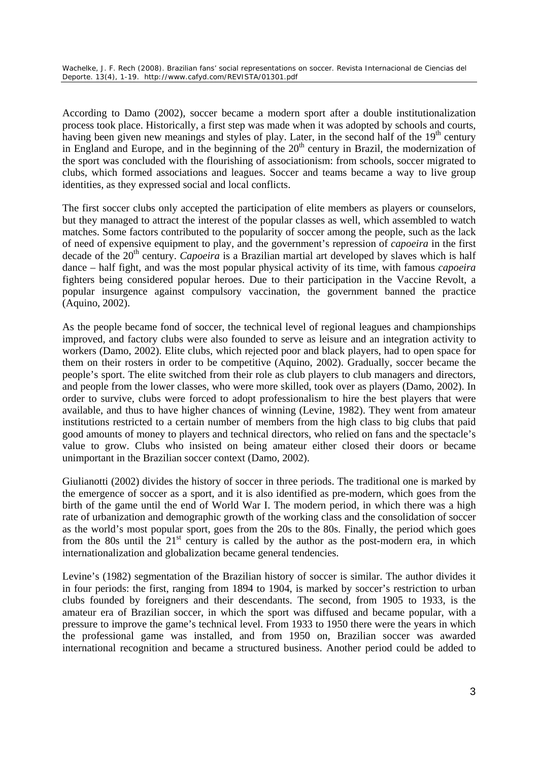According to Damo (2002), soccer became a modern sport after a double institutionalization process took place. Historically, a first step was made when it was adopted by schools and courts, having been given new meanings and styles of play. Later, in the second half of the  $19<sup>th</sup>$  century in England and Europe, and in the beginning of the  $20<sup>th</sup>$  century in Brazil, the modernization of the sport was concluded with the flourishing of associationism: from schools, soccer migrated to clubs, which formed associations and leagues. Soccer and teams became a way to live group identities, as they expressed social and local conflicts.

The first soccer clubs only accepted the participation of elite members as players or counselors, but they managed to attract the interest of the popular classes as well, which assembled to watch matches. Some factors contributed to the popularity of soccer among the people, such as the lack of need of expensive equipment to play, and the government's repression of *capoeira* in the first decade of the 20<sup>th</sup> century. *Capoeira* is a Brazilian martial art developed by slaves which is half dance – half fight, and was the most popular physical activity of its time, with famous *capoeira* fighters being considered popular heroes. Due to their participation in the Vaccine Revolt, a popular insurgence against compulsory vaccination, the government banned the practice (Aquino, 2002).

As the people became fond of soccer, the technical level of regional leagues and championships improved, and factory clubs were also founded to serve as leisure and an integration activity to workers (Damo, 2002). Elite clubs, which rejected poor and black players, had to open space for them on their rosters in order to be competitive (Aquino, 2002). Gradually, soccer became the people's sport. The elite switched from their role as club players to club managers and directors, and people from the lower classes, who were more skilled, took over as players (Damo, 2002). In order to survive, clubs were forced to adopt professionalism to hire the best players that were available, and thus to have higher chances of winning (Levine, 1982). They went from amateur institutions restricted to a certain number of members from the high class to big clubs that paid good amounts of money to players and technical directors, who relied on fans and the spectacle's value to grow. Clubs who insisted on being amateur either closed their doors or became unimportant in the Brazilian soccer context (Damo, 2002).

Giulianotti (2002) divides the history of soccer in three periods. The traditional one is marked by the emergence of soccer as a sport, and it is also identified as pre-modern, which goes from the birth of the game until the end of World War I. The modern period, in which there was a high rate of urbanization and demographic growth of the working class and the consolidation of soccer as the world's most popular sport, goes from the 20s to the 80s. Finally, the period which goes from the 80s until the  $21<sup>st</sup>$  century is called by the author as the post-modern era, in which internationalization and globalization became general tendencies.

Levine's (1982) segmentation of the Brazilian history of soccer is similar. The author divides it in four periods: the first, ranging from 1894 to 1904, is marked by soccer's restriction to urban clubs founded by foreigners and their descendants. The second, from 1905 to 1933, is the amateur era of Brazilian soccer, in which the sport was diffused and became popular, with a pressure to improve the game's technical level. From 1933 to 1950 there were the years in which the professional game was installed, and from 1950 on, Brazilian soccer was awarded international recognition and became a structured business. Another period could be added to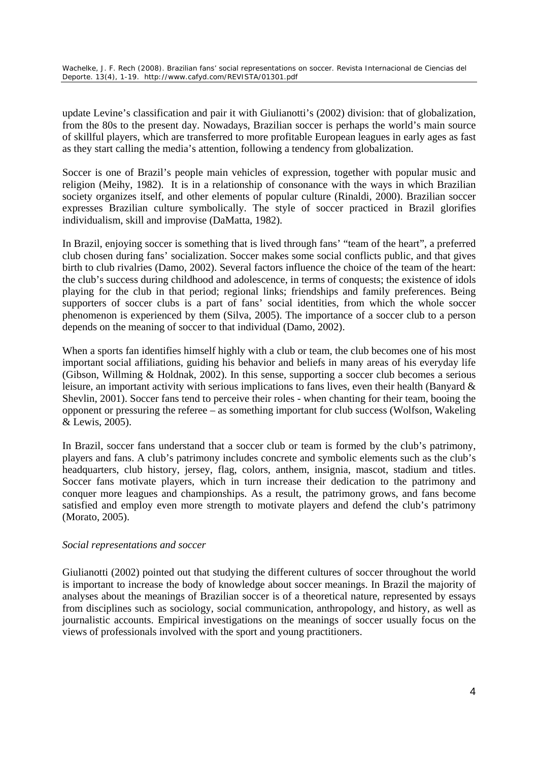update Levine's classification and pair it with Giulianotti's (2002) division: that of globalization, from the 80s to the present day. Nowadays, Brazilian soccer is perhaps the world's main source of skillful players, which are transferred to more profitable European leagues in early ages as fast as they start calling the media's attention, following a tendency from globalization.

Soccer is one of Brazil's people main vehicles of expression, together with popular music and religion (Meihy, 1982). It is in a relationship of consonance with the ways in which Brazilian society organizes itself, and other elements of popular culture (Rinaldi, 2000). Brazilian soccer expresses Brazilian culture symbolically. The style of soccer practiced in Brazil glorifies individualism, skill and improvise (DaMatta, 1982).

In Brazil, enjoying soccer is something that is lived through fans' "team of the heart", a preferred club chosen during fans' socialization. Soccer makes some social conflicts public, and that gives birth to club rivalries (Damo, 2002). Several factors influence the choice of the team of the heart: the club's success during childhood and adolescence, in terms of conquests; the existence of idols playing for the club in that period; regional links; friendships and family preferences. Being supporters of soccer clubs is a part of fans' social identities, from which the whole soccer phenomenon is experienced by them (Silva, 2005). The importance of a soccer club to a person depends on the meaning of soccer to that individual (Damo, 2002).

When a sports fan identifies himself highly with a club or team, the club becomes one of his most important social affiliations, guiding his behavior and beliefs in many areas of his everyday life (Gibson, Willming & Holdnak, 2002). In this sense, supporting a soccer club becomes a serious leisure, an important activity with serious implications to fans lives, even their health (Banyard & Shevlin, 2001). Soccer fans tend to perceive their roles - when chanting for their team, booing the opponent or pressuring the referee – as something important for club success (Wolfson, Wakeling & Lewis, 2005).

In Brazil, soccer fans understand that a soccer club or team is formed by the club's patrimony, players and fans. A club's patrimony includes concrete and symbolic elements such as the club's headquarters, club history, jersey, flag, colors, anthem, insignia, mascot, stadium and titles. Soccer fans motivate players, which in turn increase their dedication to the patrimony and conquer more leagues and championships. As a result, the patrimony grows, and fans become satisfied and employ even more strength to motivate players and defend the club's patrimony (Morato, 2005).

## *Social representations and soccer*

Giulianotti (2002) pointed out that studying the different cultures of soccer throughout the world is important to increase the body of knowledge about soccer meanings. In Brazil the majority of analyses about the meanings of Brazilian soccer is of a theoretical nature, represented by essays from disciplines such as sociology, social communication, anthropology, and history, as well as journalistic accounts. Empirical investigations on the meanings of soccer usually focus on the views of professionals involved with the sport and young practitioners.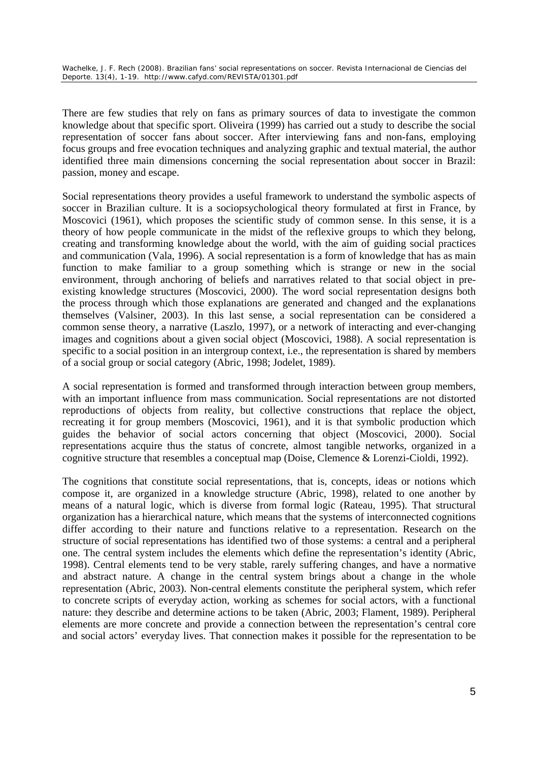There are few studies that rely on fans as primary sources of data to investigate the common knowledge about that specific sport. Oliveira (1999) has carried out a study to describe the social representation of soccer fans about soccer. After interviewing fans and non-fans, employing focus groups and free evocation techniques and analyzing graphic and textual material, the author identified three main dimensions concerning the social representation about soccer in Brazil: passion, money and escape.

Social representations theory provides a useful framework to understand the symbolic aspects of soccer in Brazilian culture. It is a sociopsychological theory formulated at first in France, by Moscovici (1961), which proposes the scientific study of common sense. In this sense, it is a theory of how people communicate in the midst of the reflexive groups to which they belong, creating and transforming knowledge about the world, with the aim of guiding social practices and communication (Vala, 1996). A social representation is a form of knowledge that has as main function to make familiar to a group something which is strange or new in the social environment, through anchoring of beliefs and narratives related to that social object in preexisting knowledge structures (Moscovici, 2000). The word social representation designs both the process through which those explanations are generated and changed and the explanations themselves (Valsiner, 2003). In this last sense, a social representation can be considered a common sense theory, a narrative (Laszlo, 1997), or a network of interacting and ever-changing images and cognitions about a given social object (Moscovici, 1988). A social representation is specific to a social position in an intergroup context, i.e., the representation is shared by members of a social group or social category (Abric, 1998; Jodelet, 1989).

A social representation is formed and transformed through interaction between group members, with an important influence from mass communication. Social representations are not distorted reproductions of objects from reality, but collective constructions that replace the object, recreating it for group members (Moscovici, 1961), and it is that symbolic production which guides the behavior of social actors concerning that object (Moscovici, 2000). Social representations acquire thus the status of concrete, almost tangible networks, organized in a cognitive structure that resembles a conceptual map (Doise, Clemence & Lorenzi-Cioldi, 1992).

The cognitions that constitute social representations, that is, concepts, ideas or notions which compose it, are organized in a knowledge structure (Abric, 1998), related to one another by means of a natural logic, which is diverse from formal logic (Rateau, 1995). That structural organization has a hierarchical nature, which means that the systems of interconnected cognitions differ according to their nature and functions relative to a representation. Research on the structure of social representations has identified two of those systems: a central and a peripheral one. The central system includes the elements which define the representation's identity (Abric, 1998). Central elements tend to be very stable, rarely suffering changes, and have a normative and abstract nature. A change in the central system brings about a change in the whole representation (Abric, 2003). Non-central elements constitute the peripheral system, which refer to concrete scripts of everyday action, working as schemes for social actors, with a functional nature: they describe and determine actions to be taken (Abric, 2003; Flament, 1989). Peripheral elements are more concrete and provide a connection between the representation's central core and social actors' everyday lives. That connection makes it possible for the representation to be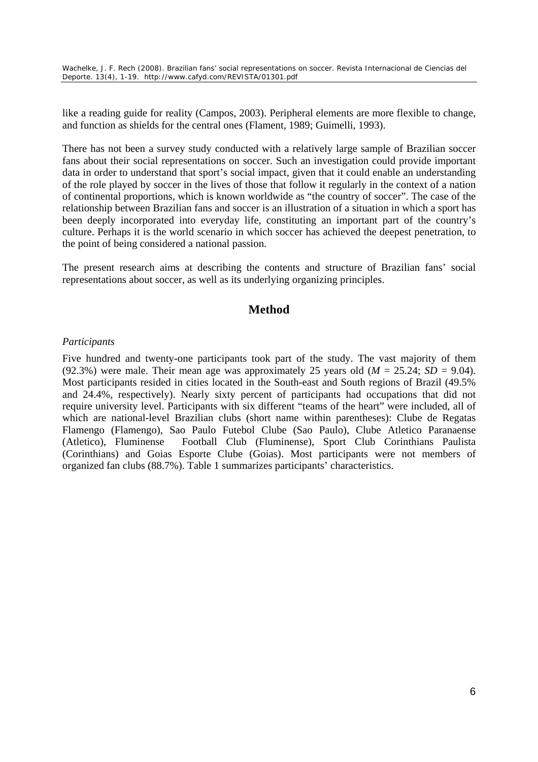like a reading guide for reality (Campos, 2003). Peripheral elements are more flexible to change, and function as shields for the central ones (Flament, 1989; Guimelli, 1993).

There has not been a survey study conducted with a relatively large sample of Brazilian soccer fans about their social representations on soccer. Such an investigation could provide important data in order to understand that sport's social impact, given that it could enable an understanding of the role played by soccer in the lives of those that follow it regularly in the context of a nation of continental proportions, which is known worldwide as "the country of soccer". The case of the relationship between Brazilian fans and soccer is an illustration of a situation in which a sport has been deeply incorporated into everyday life, constituting an important part of the country's culture. Perhaps it is the world scenario in which soccer has achieved the deepest penetration, to the point of being considered a national passion.

The present research aims at describing the contents and structure of Brazilian fans' social representations about soccer, as well as its underlying organizing principles.

## **Method**

### *Participants*

Five hundred and twenty-one participants took part of the study. The vast majority of them (92.3%) were male. Their mean age was approximately 25 years old  $(M = 25.24; SD = 9.04)$ . Most participants resided in cities located in the South-east and South regions of Brazil (49.5% and 24.4%, respectively). Nearly sixty percent of participants had occupations that did not require university level. Participants with six different "teams of the heart" were included, all of which are national-level Brazilian clubs (short name within parentheses): Clube de Regatas Flamengo (Flamengo), Sao Paulo Futebol Clube (Sao Paulo), Clube Atletico Paranaense (Atletico), Fluminense Football Club (Fluminense), Sport Club Corinthians Paulista (Corinthians) and Goias Esporte Clube (Goias). Most participants were not members of organized fan clubs (88.7%). Table 1 summarizes participants' characteristics.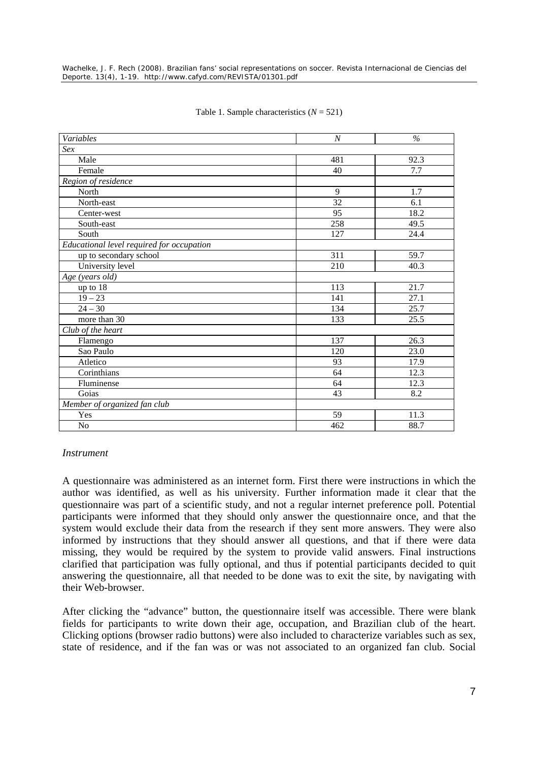| Variables                                 | $\boldsymbol{N}$ | $\%$ |  |  |
|-------------------------------------------|------------------|------|--|--|
| Sex                                       |                  |      |  |  |
| Male                                      | 481              | 92.3 |  |  |
| Female                                    | 40               | 7.7  |  |  |
| Region of residence                       |                  |      |  |  |
| North                                     | 9                | 1.7  |  |  |
| North-east                                | $\overline{32}$  | 6.1  |  |  |
| Center-west                               | 95               | 18.2 |  |  |
| South-east                                | 258              | 49.5 |  |  |
| South                                     | 127              | 24.4 |  |  |
| Educational level required for occupation |                  |      |  |  |
| up to secondary school                    | 311              | 59.7 |  |  |
| University level                          | 210              | 40.3 |  |  |
| Age (years old)                           |                  |      |  |  |
| up to $18$                                | 113              | 21.7 |  |  |
| $19 - 23$                                 | 141              | 27.1 |  |  |
| $24 - 30$                                 | 134              | 25.7 |  |  |
| more than 30                              | 133              | 25.5 |  |  |
| Club of the heart                         |                  |      |  |  |
| Flamengo                                  | 137              | 26.3 |  |  |
| Sao Paulo                                 | 120              | 23.0 |  |  |
| Atletico                                  | 93               | 17.9 |  |  |
| Corinthians                               | 64               | 12.3 |  |  |
| Fluminense                                | 64               | 12.3 |  |  |
| Goias                                     | 43               | 8.2  |  |  |
| Member of organized fan club              |                  |      |  |  |
| Yes                                       | 59               | 11.3 |  |  |
| N <sub>o</sub>                            | 462              | 88.7 |  |  |

### Table 1. Sample characteristics (*N* = 521)

### *Instrument*

A questionnaire was administered as an internet form. First there were instructions in which the author was identified, as well as his university. Further information made it clear that the questionnaire was part of a scientific study, and not a regular internet preference poll. Potential participants were informed that they should only answer the questionnaire once, and that the system would exclude their data from the research if they sent more answers. They were also informed by instructions that they should answer all questions, and that if there were data missing, they would be required by the system to provide valid answers. Final instructions clarified that participation was fully optional, and thus if potential participants decided to quit answering the questionnaire, all that needed to be done was to exit the site, by navigating with their Web-browser.

After clicking the "advance" button, the questionnaire itself was accessible. There were blank fields for participants to write down their age, occupation, and Brazilian club of the heart. Clicking options (browser radio buttons) were also included to characterize variables such as sex, state of residence, and if the fan was or was not associated to an organized fan club. Social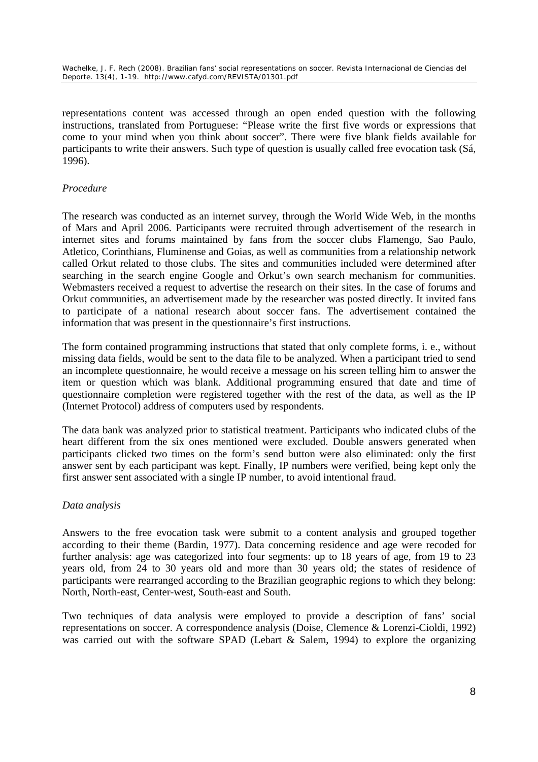representations content was accessed through an open ended question with the following instructions, translated from Portuguese: "Please write the first five words or expressions that come to your mind when you think about soccer". There were five blank fields available for participants to write their answers. Such type of question is usually called free evocation task (Sá, 1996).

## *Procedure*

The research was conducted as an internet survey, through the World Wide Web, in the months of Mars and April 2006. Participants were recruited through advertisement of the research in internet sites and forums maintained by fans from the soccer clubs Flamengo, Sao Paulo, Atletico, Corinthians, Fluminense and Goias, as well as communities from a relationship network called Orkut related to those clubs. The sites and communities included were determined after searching in the search engine Google and Orkut's own search mechanism for communities. Webmasters received a request to advertise the research on their sites. In the case of forums and Orkut communities, an advertisement made by the researcher was posted directly. It invited fans to participate of a national research about soccer fans. The advertisement contained the information that was present in the questionnaire's first instructions.

The form contained programming instructions that stated that only complete forms, i. e., without missing data fields, would be sent to the data file to be analyzed. When a participant tried to send an incomplete questionnaire, he would receive a message on his screen telling him to answer the item or question which was blank. Additional programming ensured that date and time of questionnaire completion were registered together with the rest of the data, as well as the IP (Internet Protocol) address of computers used by respondents.

The data bank was analyzed prior to statistical treatment. Participants who indicated clubs of the heart different from the six ones mentioned were excluded. Double answers generated when participants clicked two times on the form's send button were also eliminated: only the first answer sent by each participant was kept. Finally, IP numbers were verified, being kept only the first answer sent associated with a single IP number, to avoid intentional fraud.

## *Data analysis*

Answers to the free evocation task were submit to a content analysis and grouped together according to their theme (Bardin, 1977). Data concerning residence and age were recoded for further analysis: age was categorized into four segments: up to 18 years of age, from 19 to 23 years old, from 24 to 30 years old and more than 30 years old; the states of residence of participants were rearranged according to the Brazilian geographic regions to which they belong: North, North-east, Center-west, South-east and South.

Two techniques of data analysis were employed to provide a description of fans' social representations on soccer. A correspondence analysis (Doise, Clemence & Lorenzi-Cioldi, 1992) was carried out with the software SPAD (Lebart & Salem, 1994) to explore the organizing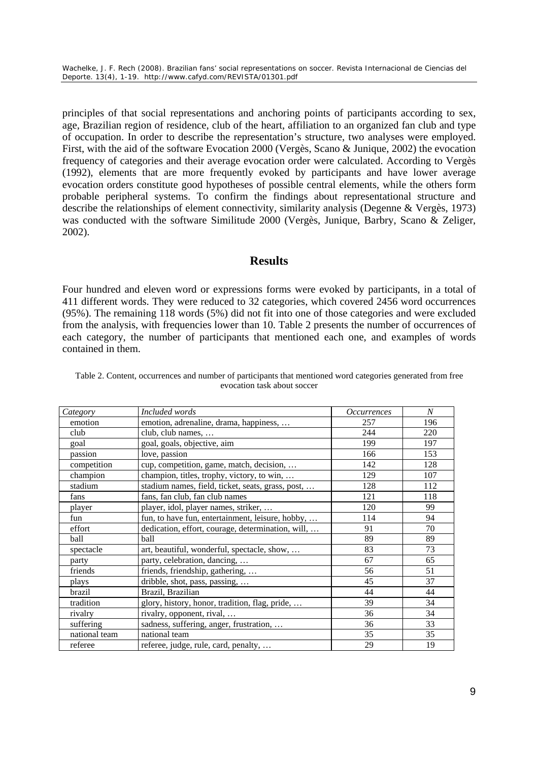principles of that social representations and anchoring points of participants according to sex, age, Brazilian region of residence, club of the heart, affiliation to an organized fan club and type of occupation. In order to describe the representation's structure, two analyses were employed. First, with the aid of the software Evocation 2000 (Vergès, Scano & Junique, 2002) the evocation frequency of categories and their average evocation order were calculated. According to Vergès (1992), elements that are more frequently evoked by participants and have lower average evocation orders constitute good hypotheses of possible central elements, while the others form probable peripheral systems. To confirm the findings about representational structure and describe the relationships of element connectivity, similarity analysis (Degenne & Vergès, 1973) was conducted with the software Similitude 2000 (Vergès, Junique, Barbry, Scano & Zeliger, 2002).

## **Results**

Four hundred and eleven word or expressions forms were evoked by participants, in a total of 411 different words. They were reduced to 32 categories, which covered 2456 word occurrences (95%). The remaining 118 words (5%) did not fit into one of those categories and were excluded from the analysis, with frequencies lower than 10. Table 2 presents the number of occurrences of each category, the number of participants that mentioned each one, and examples of words contained in them.

| Category      | Included words                                    | <i>Occurrences</i> | $\boldsymbol{N}$ |
|---------------|---------------------------------------------------|--------------------|------------------|
| emotion       | emotion, adrenaline, drama, happiness,            | 257                | 196              |
| club          | club, club names,                                 | 244                | 220              |
| goal          | goal, goals, objective, aim                       | 199                | 197              |
| passion       | love, passion                                     | 166                | 153              |
| competition   | cup, competition, game, match, decision,          | 142                | 128              |
| champion      | champion, titles, trophy, victory, to win,        | 129                | 107              |
| stadium       | stadium names, field, ticket, seats, grass, post, | 128                | 112              |
| fans          | fans, fan club, fan club names                    | 121                | 118              |
| player        | player, idol, player names, striker,              | 120                | 99               |
| fun           | fun, to have fun, entertainment, leisure, hobby,  | 114                | 94               |
| effort        | dedication, effort, courage, determination, will, | 91                 | 70               |
| ball          | ball                                              | 89                 | 89               |
| spectacle     | art, beautiful, wonderful, spectacle, show,       | 83                 | 73               |
| party         | party, celebration, dancing,                      | 67                 | 65               |
| friends       | friends, friendship, gathering,                   | 56                 | 51               |
| plays         | dribble, shot, pass, passing,                     | 45                 | 37               |
| brazil        | Brazil, Brazilian                                 | 44                 | 44               |
| tradition     | glory, history, honor, tradition, flag, pride,    | 39                 | 34               |
| rivalry       | rivalry, opponent, rival,                         | 36                 | 34               |
| suffering     | sadness, suffering, anger, frustration,           | 36                 | 33               |
| national team | national team                                     | 35                 | 35               |
| referee       | referee, judge, rule, card, penalty,              | 29                 | 19               |

Table 2. Content, occurrences and number of participants that mentioned word categories generated from free evocation task about soccer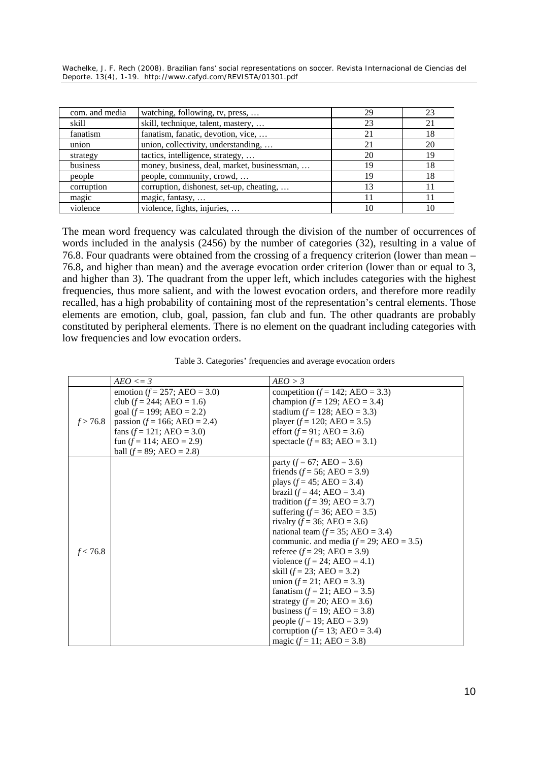| com. and media | watching, following, tv, press,             | 29 | 23 |
|----------------|---------------------------------------------|----|----|
| skill          | skill, technique, talent, mastery,          | 23 | 21 |
| fanatism       | fanatism, fanatic, devotion, vice,          | 21 | 18 |
| union          | union, collectivity, understanding,         | 21 | 20 |
| strategy       | tactics, intelligence, strategy,            | 20 | 19 |
| business       | money, business, deal, market, businessman, | 19 | 18 |
| people         | people, community, crowd,                   | 19 | 18 |
| corruption     | corruption, dishonest, set-up, cheating,    | 13 | 11 |
| magic          | magic, fantasy,                             | 11 | 11 |
| violence       | violence, fights, injuries,                 | 10 | 10 |

The mean word frequency was calculated through the division of the number of occurrences of words included in the analysis (2456) by the number of categories (32), resulting in a value of 76.8. Four quadrants were obtained from the crossing of a frequency criterion (lower than mean – 76.8, and higher than mean) and the average evocation order criterion (lower than or equal to 3, and higher than 3). The quadrant from the upper left, which includes categories with the highest frequencies, thus more salient, and with the lowest evocation orders, and therefore more readily recalled, has a high probability of containing most of the representation's central elements. Those elements are emotion, club, goal, passion, fan club and fun. The other quadrants are probably constituted by peripheral elements. There is no element on the quadrant including categories with low frequencies and low evocation orders.

| Table 3. Categories' frequencies and average evocation orders |  |  |
|---------------------------------------------------------------|--|--|

|          | $AEO \leq 3$                     | AEO > 3                                   |
|----------|----------------------------------|-------------------------------------------|
|          | emotion ( $f = 257$ ; AEO = 3.0) | competition ( $f = 142$ ; AEO = 3.3)      |
|          | club $(f = 244; AEO = 1.6)$      | champion $(f = 129; AEO = 3.4)$           |
|          | goal ( $f = 199$ ; AEO = 2.2)    | stadium ( $f = 128$ ; AEO = 3.3)          |
| f > 76.8 | passion ( $f = 166$ ; AEO = 2.4) | player $(f = 120; AEO = 3.5)$             |
|          | fans $(f = 121; AEO = 3.0)$      | effort $(f = 91; AEO = 3.6)$              |
|          | fun $(f = 114; AEO = 2.9)$       | spectacle $(f = 83; AEO = 3.1)$           |
|          | ball $(f = 89; AEO = 2.8)$       |                                           |
|          |                                  | party ( $f = 67$ ; AEO = 3.6)             |
|          |                                  | friends ( $f = 56$ ; AEO = 3.9)           |
|          |                                  | plays $(f = 45; AEO = 3.4)$               |
|          |                                  | brazil $(f = 44; AEO = 3.4)$              |
|          |                                  | tradition ( $f = 39$ ; AEO = 3.7)         |
|          |                                  | suffering $(f = 36; AEO = 3.5)$           |
|          |                                  | rivalry ( $f = 36$ ; AEO = 3.6)           |
|          |                                  | national team $(f = 35; AEO = 3.4)$       |
|          |                                  | communic. and media $(f = 29; AEO = 3.5)$ |
| f < 76.8 |                                  | referee $(f = 29; AEO = 3.9)$             |
|          |                                  | violence $(f = 24; AEO = 4.1)$            |
|          |                                  | skill $(f = 23; AEO = 3.2)$               |
|          |                                  | union $(f = 21; AEO = 3.3)$               |
|          |                                  | fanatism $(f = 21; AEO = 3.5)$            |
|          |                                  | strategy $(f = 20; AEO = 3.6)$            |
|          |                                  | business $(f = 19; AEO = 3.8)$            |
|          |                                  | people $(f = 19; AEO = 3.9)$              |
|          |                                  | corruption $(f = 13; AEO = 3.4)$          |
|          |                                  | magic $(f = 11; AEO = 3.8)$               |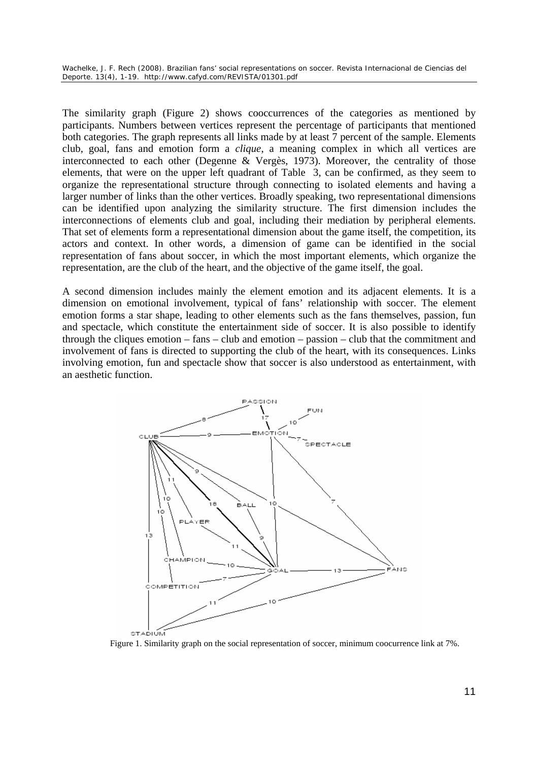The similarity graph (Figure 2) shows cooccurrences of the categories as mentioned by participants. Numbers between vertices represent the percentage of participants that mentioned both categories. The graph represents all links made by at least 7 percent of the sample. Elements club, goal, fans and emotion form a *clique*, a meaning complex in which all vertices are interconnected to each other (Degenne & Vergès, 1973). Moreover, the centrality of those elements, that were on the upper left quadrant of Table 3, can be confirmed, as they seem to organize the representational structure through connecting to isolated elements and having a larger number of links than the other vertices. Broadly speaking, two representational dimensions can be identified upon analyzing the similarity structure. The first dimension includes the interconnections of elements club and goal, including their mediation by peripheral elements. That set of elements form a representational dimension about the game itself, the competition, its actors and context. In other words, a dimension of game can be identified in the social representation of fans about soccer, in which the most important elements, which organize the representation, are the club of the heart, and the objective of the game itself, the goal.

A second dimension includes mainly the element emotion and its adjacent elements. It is a dimension on emotional involvement, typical of fans' relationship with soccer. The element emotion forms a star shape, leading to other elements such as the fans themselves, passion, fun and spectacle, which constitute the entertainment side of soccer. It is also possible to identify through the cliques emotion – fans – club and emotion – passion – club that the commitment and involvement of fans is directed to supporting the club of the heart, with its consequences. Links involving emotion, fun and spectacle show that soccer is also understood as entertainment, with an aesthetic function.



Figure 1. Similarity graph on the social representation of soccer, minimum coocurrence link at 7%.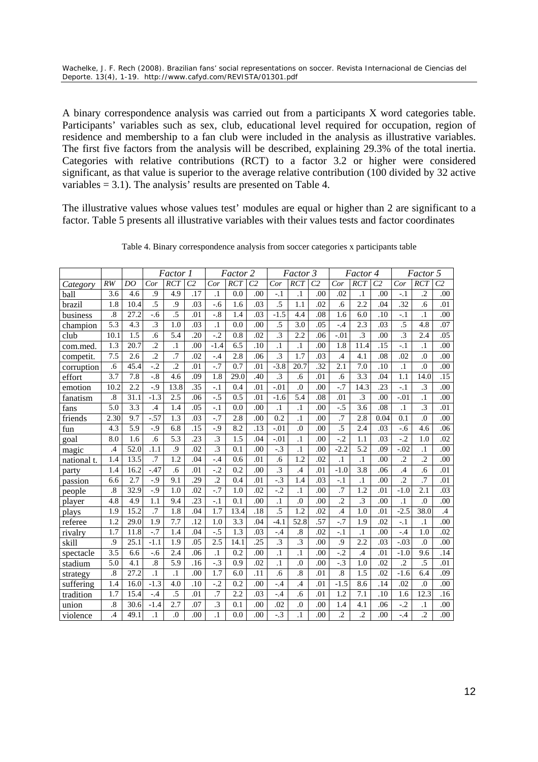A binary correspondence analysis was carried out from a participants X word categories table. Participants' variables such as sex, club, educational level required for occupation, region of residence and membership to a fan club were included in the analysis as illustrative variables. The first five factors from the analysis will be described, explaining 29.3% of the total inertia. Categories with relative contributions (RCT) to a factor 3.2 or higher were considered significant, as that value is superior to the average relative contribution (100 divided by 32 active variables = 3.1). The analysis' results are presented on Table 4.

The illustrative values whose values test' modules are equal or higher than 2 are significant to a factor. Table 5 presents all illustrative variables with their values tests and factor coordinates

|             |                      |                   |                   | <i>Factor 1</i>  |                | Factor 2        |                  |                | Factor 3        |                  |                | Factor 4        |                 | Factor 5       |                 |                  |                |
|-------------|----------------------|-------------------|-------------------|------------------|----------------|-----------------|------------------|----------------|-----------------|------------------|----------------|-----------------|-----------------|----------------|-----------------|------------------|----------------|
| Category    | RW                   | DO                | Cor               | <b>RCT</b>       | C <sub>2</sub> | Cor             | RCT              | C <sub>2</sub> | Cor             | <b>RCT</b>       | C <sub>2</sub> | Cor             | <b>RCT</b>      | C <sub>2</sub> | Cor             | RCT              | C <sub>2</sub> |
| ball        | 3.6                  | 4.6               | .9                | 4.9              | .17            | $\cdot$ 1       | 0.0              | .00            | $-.1$           | .1               | .00            | .02             | $\cdot$         | .00            | $-.1$           | $\overline{2}$   | .00            |
| brazil      | 1.8                  | 10.4              | $\overline{.5}$   | 9.               | .03            | $-.6$           | 1.6              | .03            | .5              | 1.1              | .02            | .6              | 2.2             | .04            | .32             | .6               | .01            |
| business    | $\cdot$ <sup>8</sup> | 27.2              | $-.6$             | $\overline{.5}$  | .01            | $-.8$           | 1.4              | .03            | $-1.5$          | 4.4              | .08            | 1.6             | 6.0             | .10            | $-.1$           | $\cdot$ 1        | .00            |
| champion    | 5.3                  | 4.3               | $\cdot$ 3         | 1.0              | .03            | $\cdot$ 1       | 0.0              | .00            | .5              | 3.0              | .05            | $-.4$           | 2.3             | .03            | .5              | 4.8              | .07            |
| club        | 10.1                 | 1.5               | .6                | 5.4              | .20            | $-2$            | 0.8              | .02            | $\overline{.3}$ | 2.2              | .06            | $-.01$          | $\overline{.3}$ | .00            | $\overline{.3}$ | 2.4              | .05            |
| com.med.    | 1.3                  | 20.7              | $\overline{2}$    | $\cdot$          | .00            | $-1.4$          | 6.5              | .10            | $\cdot$ 1       | $\cdot$ 1        | .00            | 1.8             | 11.4            | .15            | $-.1$           | $\cdot$          | .00            |
| competit.   | 7.5                  | 2.6               | $\overline{.2}$   | $\overline{.7}$  | .02            | $-.4$           | 2.8              | .06            | $\overline{.3}$ | 1.7              | .03            | $\mathcal{A}$   | 4.1             | .08            | .02             | $\overline{0}$ . | .00            |
| corruption  | .6                   | 45.4              | $-2$              | $\overline{2}$   | .01            | $-7$            | 0.7              | .01            | $-3.8$          | 20.7             | .32            | 2.1             | 7.0             | .10            | $\cdot$ 1       | $\Omega$ .       | .00            |
| effort      | 3.7                  | $\overline{7.8}$  | $-8$              | 4.6              | .09            | 1.8             | 29.0             | .40            | $\overline{.3}$ | .6               | .01            | .6              | 3.3             | .04            | 1.1             | 14.0             | .15            |
| emotion     | 10.2                 | 2.2               | $-9$              | 13.8             | .35            | $-.1$           | 0.4              | .01            | $-.01$          | $\overline{0}$ . | .00            | $-7$            | 14.3            | .23            | $-.1$           | $\cdot$ 3        | .00            |
| fanatism    | $\boldsymbol{.8}$    | 31.1              | $-1.3$            | 2.5              | .06            | $-5$            | 0.5              | .01            | $-1.6$          | 5.4              | .08            | .01             | .3              | .00            | $-.01$          | $\cdot$          | .00            |
| fans        | 5.0                  | 3.3               | $\mathcal{A}$     | 1.4              | .05            | $-1$            | 0.0              | .00            | $\cdot$ 1       | $\cdot$          | .00            | $-.5$           | 3.6             | .08            | $\cdot$ 1       | $\cdot$ 3        | .01            |
| friends     | 2.30                 | 9.7               | $-.57$            | 1.3              | .03            | $-.7$           | 2.8              | .00            | 0.2             | $\cdot$ 1        | .00            | $\overline{.7}$ | 2.8             | 0.04           | 0.1             | $\Omega$ .       | .00            |
| fun         | 4.3                  | 5.9               | $-0.9$            | 6.8              | .15            | $-0.9$          | 8.2              | .13            | $-.01$          | $\Omega$         | .00            | $\overline{.5}$ | 2.4             | .03            | $-0.6$          | 4.6              | .06            |
| goal        | 8.0                  | 1.6               | $\overline{.6}$   | $\overline{5.3}$ | .23            | $\overline{.3}$ | $\overline{1.5}$ | .04            | $-.01$          | $\overline{1}$   | .00            | $-2$            | 1.1             | .03            | $-2$            | 1.0              | .02            |
| magic       | .4                   | 52.0              | .1.1              | 9.               | .02            | $\cdot$ 3       | 0.1              | .00            | $-.3$           | .1               | .00            | $-2.2$          | 5.2             | .09            | $-.02$          | .1               | .00            |
| national t. | 1.4                  | 13.5              | $\overline{.7}$   | 1.2              | .04            | $-.4$           | 0.6              | .01            | .6              | 1.2              | .02            | $\cdot$ 1       | $\cdot$         | .00            | $\overline{2}$  | $\overline{2}$   | .00            |
| party       | 1.4                  | $16.\overline{2}$ | $-.47$            | .6               | .01            | $-.2$           | 0.2              | .00            | $\overline{.3}$ | .4               | .01            | $-1.0$          | 3.8             | .06            | .4              | .6               | .01            |
| passion     | 6.6                  | 2.7               | $-0.9$            | 9.1              | .29            | $\overline{.2}$ | 0.4              | .01            | $-3$            | 1.4              | .03            | $-.1$           | $\cdot$ 1       | .00            | $\overline{.2}$ | $\overline{.7}$  | .01            |
| people      | .8                   | 32.9              | $-0.9$            | 1.0              | .02            | $-7$            | 1.0              | .02            | $-2$            | $\cdot$ 1        | .00            | $\overline{J}$  | 1.2             | .01            | $-1.0$          | 2.1              | .03            |
| player      | 4.8                  | 4.9               | 1.1               | 9.4              | .23            | $-1$            | 0.1              | .00            | $\cdot$ 1       | $\overline{0}$   | .00            | $\overline{2}$  | $\cdot$ 3       | .00            | .1              | $\overline{0}$ . | .00            |
| plays       | 1.9                  | 15.2              | $\overline{.7}$   | 1.8              | .04            | 1.7             | 13.4             | .18            | .5              | 1.2              | .02            | $\overline{A}$  | 1.0             | .01            | $-2.5$          | 38.0             | $\mathcal{A}$  |
| referee     | 1.2                  | 29.0              | 1.9               | 7.7              | .12            | 1.0             | 3.3              | .04            | $-4.1$          | 52.8             | .57            | $-7$            | 1.9             | .02            | $-.1$           | $\cdot$ 1        | .00            |
| rivalry     | 1.7                  | 11.8              | $-7$              | 1.4              | .04            | $-5$            | 1.3              | .03            | $-4$            | .8               | .02            | -.1             | $\cdot$         | .00            | $-.4$           | 1.0              | .02            |
| skill       | .9                   | 25.1              | $-1.1$            | 1.9              | .05            | 2.5             | 14.1             | .25            | $\cdot$ 3       | $\overline{.3}$  | .00            | .9              | 2.2             | .03            | $-.03$          | $\overline{0}$ . | .00            |
| spectacle   | 3.5                  | 6.6               | $-.6$             | 2.4              | .06            | $\cdot$         | 0.2              | .00            | $\cdot$         | $\cdot$          | .00            | $-.2$           | .4              | .01            | $-1.0$          | 9.6              | .14            |
| stadium     | 5.0                  | 4.1               | $\boldsymbol{.8}$ | $\overline{5.9}$ | .16            | $-3$            | 0.9              | .02            | $\cdot$ 1       | $\overline{0}$ . | .00            | $-.3$           | 1.0             | .02            | $\overline{.2}$ | .5               | .01            |
| strategy    | $\boldsymbol{.8}$    | 27.2              | $\cdot$           | $\cdot$ 1        | .00            | 1.7             | 6.0              | .11            | .6              | $\overline{8}$   | .01            | $\overline{8}$  | 1.5             | .02            | $-1.6$          | 6.4              | .09            |
| suffering   | 1.4                  | 16.0              | $-1.3$            | 4.0              | .10            | $-.2$           | 0.2              | .00            | $-4$            | .4               | .01            | $-1.5$          | 8.6             | .14            | .02             | $\Omega$ .       | .00            |
| tradition   | 1.7                  | 15.4              | $-.4$             | .5               | .01            | $\cdot$ 7       | 2.2              | .03            | $-.4$           | .6               | .01            | 1.2             | 7.1             | .10            | 1.6             | 12.3             | .16            |
| union       | .8                   | 30.6              | $-1.4$            | 2.7              | .07            | $\cdot$ 3       | 0.1              | .00            | .02             | .0               | .00            | 1.4             | 4.1             | .06            | $-.2$           | $\cdot$          | .00            |
| violence    | .4                   | 49.1              | $\cdot$           | $\overline{0}$   | .00            | $\cdot$ 1       | 0.0              | .00            | $-3$            | $\cdot$          | .00            | $\overline{2}$  | $\overline{2}$  | .00            | $-.4$           | $\overline{2}$   | .00            |

Table 4. Binary correspondence analysis from soccer categories x participants table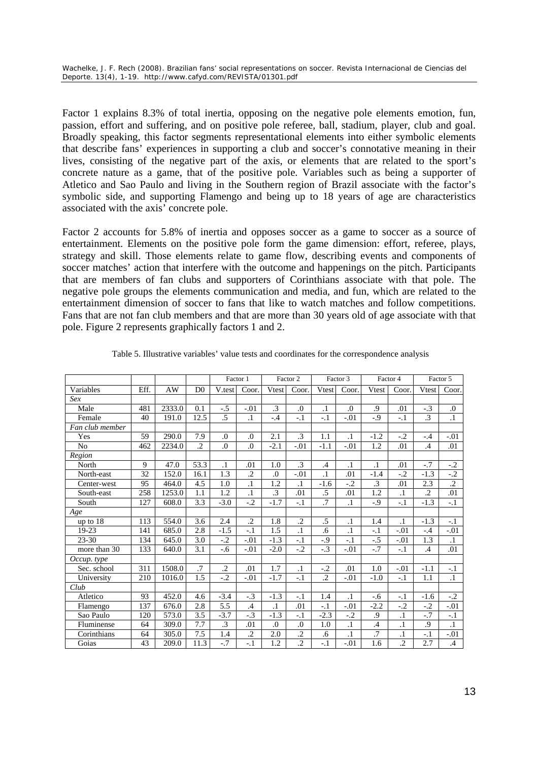Factor 1 explains 8.3% of total inertia, opposing on the negative pole elements emotion, fun, passion, effort and suffering, and on positive pole referee, ball, stadium, player, club and goal. Broadly speaking, this factor segments representational elements into either symbolic elements that describe fans' experiences in supporting a club and soccer's connotative meaning in their lives, consisting of the negative part of the axis, or elements that are related to the sport's concrete nature as a game, that of the positive pole. Variables such as being a supporter of Atletico and Sao Paulo and living in the Southern region of Brazil associate with the factor's symbolic side, and supporting Flamengo and being up to 18 years of age are characteristics associated with the axis' concrete pole.

Factor 2 accounts for 5.8% of inertia and opposes soccer as a game to soccer as a source of entertainment. Elements on the positive pole form the game dimension: effort, referee, plays, strategy and skill. Those elements relate to game flow, describing events and components of soccer matches' action that interfere with the outcome and happenings on the pitch. Participants that are members of fan clubs and supporters of Corinthians associate with that pole. The negative pole groups the elements communication and media, and fun, which are related to the entertainment dimension of soccer to fans that like to watch matches and follow competitions. Fans that are not fan club members and that are more than 30 years old of age associate with that pole. Figure 2 represents graphically factors 1 and 2.

|                 |              |        |                |                  | Factor 1         | Factor 2         |                  |                 | Factor 3   | Factor 4  |                | Factor 5      |                 |
|-----------------|--------------|--------|----------------|------------------|------------------|------------------|------------------|-----------------|------------|-----------|----------------|---------------|-----------------|
| Variables       | Eff.         | AW     | D <sub>0</sub> | V.test           | Coor.            | Vtest            | Coor.            | Vtest           | Coor.      | Vtest     | Coor.          | Vtest         | Coor.           |
| Sex             |              |        |                |                  |                  |                  |                  |                 |            |           |                |               |                 |
| Male            | 481          | 2333.0 | 0.1            | $-.5$            | $-.01$           | $\cdot$ 3        | $\Omega$ .       | $\cdot$ 1       | $\Omega$ . | .9        | .01            | $-.3$         | $\Omega$ .      |
| Female          | 40           | 191.0  | 12.5           | .5               | $\cdot$          | $-.4$            | $-.1$            | $-.1$           | $-.01$     | $-0.9$    | $-.1$          | $\cdot$ 3     | $\cdot$         |
| Fan club member |              |        |                |                  |                  |                  |                  |                 |            |           |                |               |                 |
| Yes             | 59           | 290.0  | 7.9            | $\overline{0}$ . | $\overline{0}$ . | 2.1              | $\cdot$ 3        | 1.1             | $\cdot$ 1  | $-1.2$    | $-.2$          | $-.4$         | $-.01$          |
| No              | 462          | 2234.0 | $\cdot$        | $\overline{0}$ . | $\Omega$         | $-2.1$           | $-.01$           | $-1.1$          | $-.01$     | 1.2       | .01            | $\mathcal{A}$ | .01             |
| Region          |              |        |                |                  |                  |                  |                  |                 |            |           |                |               |                 |
| North           | $\mathbf{Q}$ | 47.0   | 53.3           | $\cdot$ 1        | .01              | 1.0              | $\cdot$ 3        | $\mathcal{A}$   | $\cdot$ 1  | $\cdot$ 1 | .01            | $-.7$         | $-.2$           |
| North-east      | 32           | 152.0  | 16.1           | 1.3              | $\overline{2}$   | $\overline{0}$ . | $-.01$           | $\cdot$         | .01        | $-1.4$    | $-.2$          | $-1.3$        | $-2$            |
| Center-west     | 95           | 464.0  | 4.5            | 1.0              | $\overline{1}$   | 1.2              | $\cdot$          | $-1.6$          | $-.2$      | $\cdot$ 3 | .01            | 2.3           | $\overline{.2}$ |
| South-east      | 258          | 1253.0 | 1.1            | 1.2              | $\cdot$ 1        | $\cdot$ 3        | .01              | .5              | .01        | 1.2       | $\cdot$        | $\cdot$ 2     | .01             |
| South           | 127          | 608.0  | 3.3            | $-3.0$           | $-.2$            | $-1.7$           | $-1$             | $\overline{.7}$ | $\cdot$ 1  | $-0.9$    | $-.1$          | $-1.3$        | $-.1$           |
| Age             |              |        |                |                  |                  |                  |                  |                 |            |           |                |               |                 |
| up to $18$      | 113          | 554.0  | 3.6            | 2.4              | $\cdot$          | 1.8              | $\cdot$          | .5              | $\cdot$ 1  | 1.4       | $\cdot$        | $-1.3$        | $-.1$           |
| 19-23           | 141          | 685.0  | 2.8            | $-1.5$           | $-.1$            | 1.5              | $\cdot$ 1        | .6              | $\cdot$ 1  | $-.1$     | $-.01$         | $-.4$         | $-.01$          |
| $23 - 30$       | 134          | 645.0  | 3.0            | $-.2$            | $-.01$           | $-1.3$           | $-.1$            | -.9             | $-.1$      | $-.5$     | $-.01$         | 1.3           | $\cdot$ 1       |
| more than 30    | 133          | 640.0  | 3.1            | $-0.6$           | $-.01$           | $-2.0$           | $-.2$            | $-.3$           | $-.01$     | $-7$      | $-.1$          | $\cdot$       | .01             |
| Occup. type     |              |        |                |                  |                  |                  |                  |                 |            |           |                |               |                 |
| Sec. school     | 311          | 1508.0 | .7             | $\overline{2}$   | .01              | 1.7              | $\cdot$ 1        | $-.2$           | .01        | 1.0       | $-.01$         | $-1.1$        | $-.1$           |
| University      | 210          | 1016.0 | 1.5            | $-.2$            | $-.01$           | $-1.7$           | $-.1$            | $\cdot$ .2      | $-.01$     | $-1.0$    | $-.1$          | 1.1           | $\cdot$ 1       |
| Club            |              |        |                |                  |                  |                  |                  |                 |            |           |                |               |                 |
| Atletico        | 93           | 452.0  | 4.6            | $-3.4$           | $-.3$            | $-1.3$           | $-.1$            | 1.4             | $\cdot$ 1  | $-0.6$    | $-.1$          | $-1.6$        | $-.2$           |
| Flamengo        | 137          | 676.0  | 2.8            | 5.5              | .4               | $\overline{1}$   | .01              | $-.1$           | $-.01$     | $-2.2$    | $-0.2$         | $-.2$         | $-0.01$         |
| Sao Paulo       | 120          | 573.0  | 3.5            | $-3.7$           | $-.3$            | $-1.3$           | $-.1$            | $-2.3$          | $-.2$      | .9        | $\cdot$ 1      | $-.7$         | $-.1$           |
| Fluminense      | 64           | 309.0  | 7.7            | $\cdot$ 3        | .01              | $\Omega$         | $\overline{0}$ . | 1.0             | $\cdot$ 1  | .4        | $\cdot$ 1      | .9            | $\cdot$ 1       |
| Corinthians     | 64           | 305.0  | 7.5            | 1.4              | $\overline{.2}$  | 2.0              | $\overline{2}$   | .6              | $\cdot$    | $\cdot$ 7 | $\cdot$ 1      | $-.1$         | $-.01$          |
| Goias           | 43           | 209.0  | 11.3           | $-.7$            | $-1$             | 1.2              | $\overline{2}$   | $-.1$           | $-.01$     | 1.6       | $\overline{2}$ | 2.7           | $.4\phantom{0}$ |

|  | Table 5. Illustrative variables' value tests and coordinates for the correspondence analysis |
|--|----------------------------------------------------------------------------------------------|
|--|----------------------------------------------------------------------------------------------|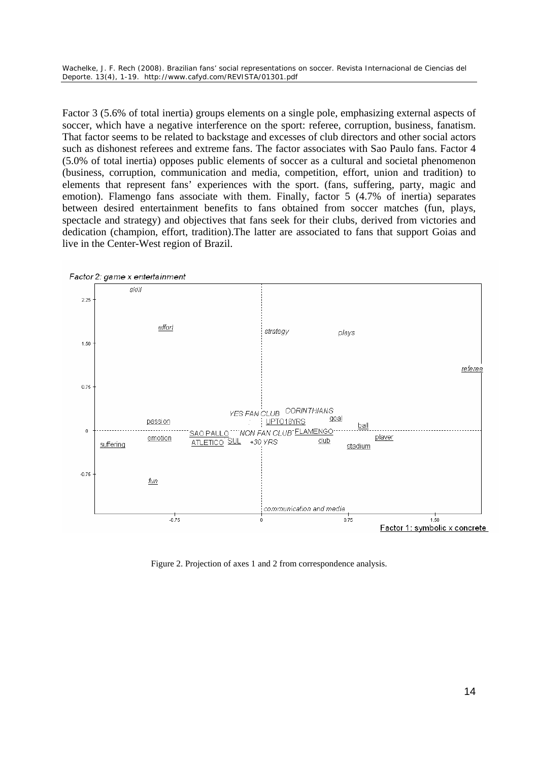Factor 3 (5.6% of total inertia) groups elements on a single pole, emphasizing external aspects of soccer, which have a negative interference on the sport: referee, corruption, business, fanatism. That factor seems to be related to backstage and excesses of club directors and other social actors such as dishonest referees and extreme fans. The factor associates with Sao Paulo fans. Factor 4 (5.0% of total inertia) opposes public elements of soccer as a cultural and societal phenomenon (business, corruption, communication and media, competition, effort, union and tradition) to elements that represent fans' experiences with the sport. (fans, suffering, party, magic and emotion). Flamengo fans associate with them. Finally, factor 5 (4.7% of inertia) separates between desired entertainment benefits to fans obtained from soccer matches (fun, plays, spectacle and strategy) and objectives that fans seek for their clubs, derived from victories and dedication (champion, effort, tradition).The latter are associated to fans that support Goias and live in the Center-West region of Brazil.



Factor 2: game x entertainment

Figure 2. Projection of axes 1 and 2 from correspondence analysis.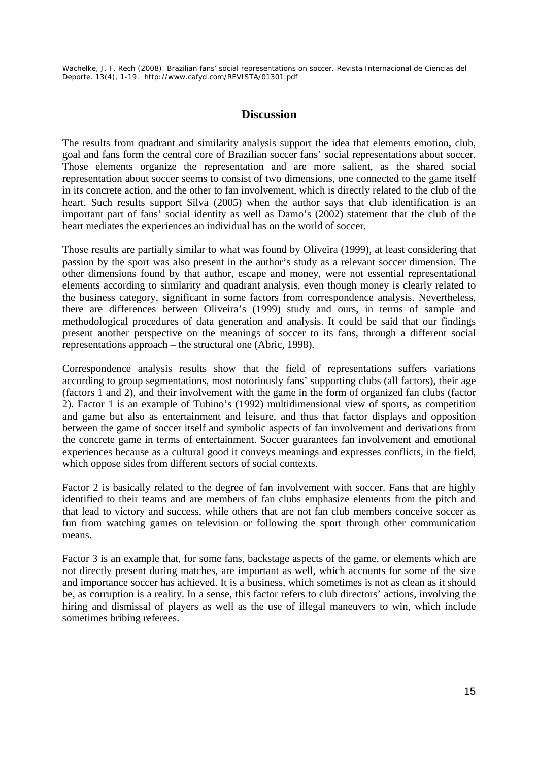# **Discussion**

The results from quadrant and similarity analysis support the idea that elements emotion, club, goal and fans form the central core of Brazilian soccer fans' social representations about soccer. Those elements organize the representation and are more salient, as the shared social representation about soccer seems to consist of two dimensions, one connected to the game itself in its concrete action, and the other to fan involvement, which is directly related to the club of the heart. Such results support Silva (2005) when the author says that club identification is an important part of fans' social identity as well as Damo's (2002) statement that the club of the heart mediates the experiences an individual has on the world of soccer.

Those results are partially similar to what was found by Oliveira (1999), at least considering that passion by the sport was also present in the author's study as a relevant soccer dimension. The other dimensions found by that author, escape and money, were not essential representational elements according to similarity and quadrant analysis, even though money is clearly related to the business category, significant in some factors from correspondence analysis. Nevertheless, there are differences between Oliveira's (1999) study and ours, in terms of sample and methodological procedures of data generation and analysis. It could be said that our findings present another perspective on the meanings of soccer to its fans, through a different social representations approach – the structural one (Abric, 1998).

Correspondence analysis results show that the field of representations suffers variations according to group segmentations, most notoriously fans' supporting clubs (all factors), their age (factors 1 and 2), and their involvement with the game in the form of organized fan clubs (factor 2). Factor 1 is an example of Tubino's (1992) multidimensional view of sports, as competition and game but also as entertainment and leisure, and thus that factor displays and opposition between the game of soccer itself and symbolic aspects of fan involvement and derivations from the concrete game in terms of entertainment. Soccer guarantees fan involvement and emotional experiences because as a cultural good it conveys meanings and expresses conflicts, in the field, which oppose sides from different sectors of social contexts.

Factor 2 is basically related to the degree of fan involvement with soccer. Fans that are highly identified to their teams and are members of fan clubs emphasize elements from the pitch and that lead to victory and success, while others that are not fan club members conceive soccer as fun from watching games on television or following the sport through other communication means.

Factor 3 is an example that, for some fans, backstage aspects of the game, or elements which are not directly present during matches, are important as well, which accounts for some of the size and importance soccer has achieved. It is a business, which sometimes is not as clean as it should be, as corruption is a reality. In a sense, this factor refers to club directors' actions, involving the hiring and dismissal of players as well as the use of illegal maneuvers to win, which include sometimes bribing referees.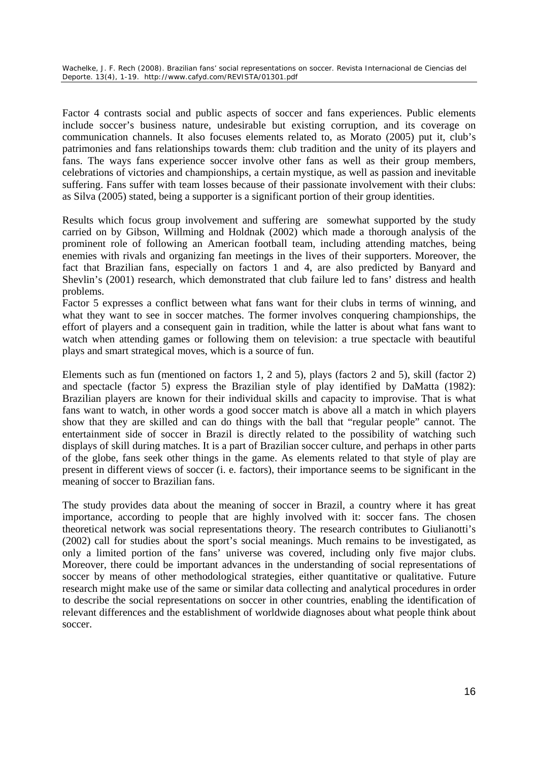Factor 4 contrasts social and public aspects of soccer and fans experiences. Public elements include soccer's business nature, undesirable but existing corruption, and its coverage on communication channels. It also focuses elements related to, as Morato (2005) put it, club's patrimonies and fans relationships towards them: club tradition and the unity of its players and fans. The ways fans experience soccer involve other fans as well as their group members, celebrations of victories and championships, a certain mystique, as well as passion and inevitable suffering. Fans suffer with team losses because of their passionate involvement with their clubs: as Silva (2005) stated, being a supporter is a significant portion of their group identities.

Results which focus group involvement and suffering are somewhat supported by the study carried on by Gibson, Willming and Holdnak (2002) which made a thorough analysis of the prominent role of following an American football team, including attending matches, being enemies with rivals and organizing fan meetings in the lives of their supporters. Moreover, the fact that Brazilian fans, especially on factors 1 and 4, are also predicted by Banyard and Shevlin's (2001) research, which demonstrated that club failure led to fans' distress and health problems.

Factor 5 expresses a conflict between what fans want for their clubs in terms of winning, and what they want to see in soccer matches. The former involves conquering championships, the effort of players and a consequent gain in tradition, while the latter is about what fans want to watch when attending games or following them on television: a true spectacle with beautiful plays and smart strategical moves, which is a source of fun.

Elements such as fun (mentioned on factors 1, 2 and 5), plays (factors 2 and 5), skill (factor 2) and spectacle (factor 5) express the Brazilian style of play identified by DaMatta (1982): Brazilian players are known for their individual skills and capacity to improvise. That is what fans want to watch, in other words a good soccer match is above all a match in which players show that they are skilled and can do things with the ball that "regular people" cannot. The entertainment side of soccer in Brazil is directly related to the possibility of watching such displays of skill during matches. It is a part of Brazilian soccer culture, and perhaps in other parts of the globe, fans seek other things in the game. As elements related to that style of play are present in different views of soccer (i. e. factors), their importance seems to be significant in the meaning of soccer to Brazilian fans.

The study provides data about the meaning of soccer in Brazil, a country where it has great importance, according to people that are highly involved with it: soccer fans. The chosen theoretical network was social representations theory. The research contributes to Giulianotti's (2002) call for studies about the sport's social meanings. Much remains to be investigated, as only a limited portion of the fans' universe was covered, including only five major clubs. Moreover, there could be important advances in the understanding of social representations of soccer by means of other methodological strategies, either quantitative or qualitative. Future research might make use of the same or similar data collecting and analytical procedures in order to describe the social representations on soccer in other countries, enabling the identification of relevant differences and the establishment of worldwide diagnoses about what people think about soccer.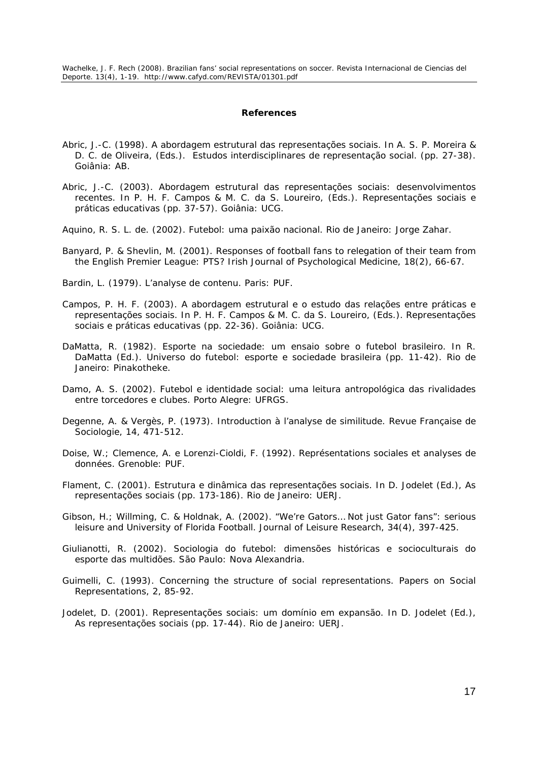#### **References**

- Abric, J.-C. (1998). A abordagem estrutural das representações sociais. In A. S. P. Moreira & D. C. de Oliveira, (Eds.). *Estudos interdisciplinares de representação social*. (pp. 27-38). Goiânia: AB.
- Abric, J.-C. (2003). Abordagem estrutural das representações sociais: desenvolvimentos recentes. In P. H. F. Campos & M. C. da S. Loureiro, (Eds.). *Representações sociais e práticas educativas* (pp. 37-57). Goiânia: UCG.
- Aquino, R. S. L. de. (2002). *Futebol: uma paixão nacional*. Rio de Janeiro: Jorge Zahar.
- Banyard, P. & Shevlin, M. (2001). Responses of football fans to relegation of their team from the English Premier League: PTS? *Irish Journal of Psychological Medicine, 18*(2), 66-67.
- Bardin, L. (1979). *L'analyse de contenu*. Paris: PUF.
- Campos, P. H. F. (2003). A abordagem estrutural e o estudo das relações entre práticas e representações sociais. In P. H. F. Campos & M. C. da S. Loureiro, (Eds.). *Representações sociais e práticas educativas* (pp. 22-36). Goiânia: UCG.
- DaMatta, R. (1982). Esporte na sociedade: um ensaio sobre o futebol brasileiro. In R. DaMatta (Ed.). *Universo do futebol: esporte e sociedade brasileira* (pp. 11-42). Rio de Janeiro: Pinakotheke.
- Damo, A. S. (2002). *Futebol e identidade social: uma leitura antropológica das rivalidades entre torcedores e clubes*. Porto Alegre: UFRGS.
- Degenne, A. & Vergès, P. (1973). Introduction à l'analyse de similitude. *Revue Française de Sociologie, 14*, 471-512.
- Doise, W.; Clemence, A. e Lorenzi-Cioldi, F. (1992). *Représentations sociales et analyses de données*. Grenoble: PUF.
- Flament, C. (2001). Estrutura e dinâmica das representações sociais. In D. Jodelet (Ed.), *As representações sociais* (pp. 173-186). Rio de Janeiro: UERJ.
- Gibson, H.; Willming, C. & Holdnak, A. (2002). "We're Gators… Not just Gator fans": serious leisure and University of Florida Football. *Journal of Leisure Research, 34*(4), 397-425.
- Giulianotti, R. (2002). *Sociologia do futebol: dimensões históricas e socioculturais do esporte das multidões*. São Paulo: Nova Alexandria.
- Guimelli, C. (1993). Concerning the structure of social representations. *Papers on Social Representations, 2*, 85-92.
- Jodelet, D. (2001). Representações sociais: um domínio em expansão. In D. Jodelet (Ed.), *As representações sociais* (pp. 17-44). Rio de Janeiro: UERJ.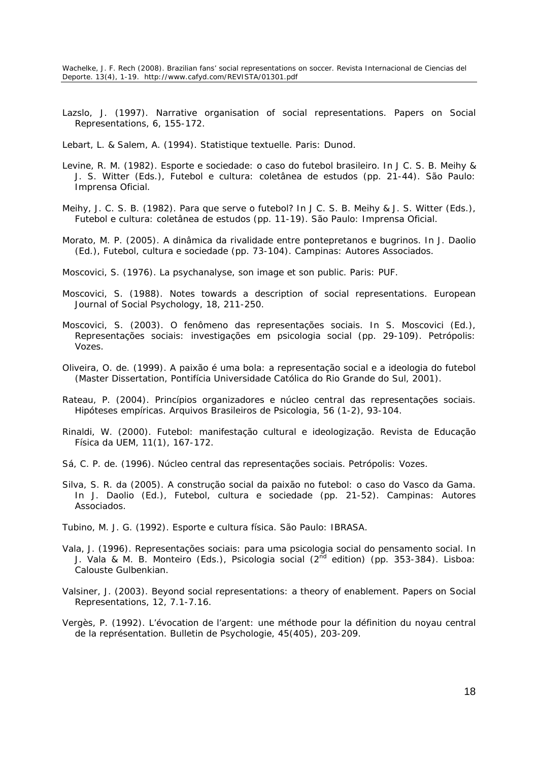- Lazslo, J. (1997). Narrative organisation of social representations. *Papers on Social Representations, 6*, 155-172.
- Lebart, L. & Salem, A. (1994). *Statistique textuelle*. Paris: Dunod.
- Levine, R. M. (1982). Esporte e sociedade: o caso do futebol brasileiro. In J C. S. B. Meihy & J. S. Witter (Eds.), *Futebol e cultura: coletânea de estudos* (pp. 21-44). São Paulo: Imprensa Oficial.
- Meihy, J. C. S. B. (1982). Para que serve o futebol? In J C. S. B. Meihy & J. S. Witter (Eds.), *Futebol e cultura: coletânea de estudos* (pp. 11-19). São Paulo: Imprensa Oficial.
- Morato, M. P. (2005). A dinâmica da rivalidade entre pontepretanos e bugrinos. In J. Daolio (Ed.), *Futebol, cultura e sociedade* (pp. 73-104). Campinas: Autores Associados.
- Moscovici, S. (1976). *La psychanalyse, son image et son public*. Paris: PUF.
- Moscovici, S. (1988). Notes towards a description of social representations. *European Journal of Social Psychology, 18*, 211-250.
- Moscovici, S. (2003). O fenômeno das representações sociais. In S. Moscovici (Ed.), *Representações sociais: investigações em psicologia social* (pp. 29-109). Petrópolis: Vozes.
- Oliveira, O. de. (1999). *A paixão é uma bola: a representação social e a ideologia do futebol* (Master Dissertation, Pontifícia Universidade Católica do Rio Grande do Sul, 2001).
- Rateau, P. (2004). Princípios organizadores e núcleo central das representações sociais. Hipóteses empíricas. *Arquivos Brasileiros de Psicologia, 56* (1-2), 93-104.
- Rinaldi, W. (2000). Futebol: manifestação cultural e ideologização. *Revista de Educação Física da UEM, 11*(1), 167-172.
- Sá, C. P. de. (1996). *Núcleo central das representações sociais*. Petrópolis: Vozes.
- Silva, S. R. da (2005). A construção social da paixão no futebol: o caso do Vasco da Gama. In J. Daolio (Ed.), *Futebol, cultura e sociedade* (pp. 21-52). Campinas: Autores Associados.
- Tubino, M. J. G. (1992). *Esporte e cultura física*. São Paulo: IBRASA.
- Vala, J. (1996). Representações sociais: para uma psicologia social do pensamento social. In J. Vala & M. B. Monteiro (Eds.), *Psicologia social (2nd edition)* (pp. 353-384). Lisboa: Calouste Gulbenkian.
- Valsiner, J. (2003). Beyond social representations: a theory of enablement. *Papers on Social Representations, 12*, 7.1-7.16.
- Vergès, P. (1992). L'évocation de l'argent: une méthode pour la définition du noyau central de la représentation. *Bulletin de Psychologie, 45*(405), 203-209.